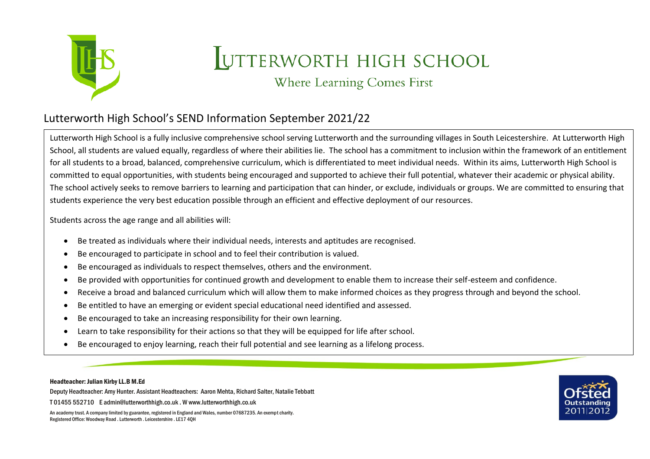

## UTTERWORTH HIGH SCHOOL

Where Learning Comes First

## Lutterworth High School's SEND Information September 2021/22

Lutterworth High School is a fully inclusive comprehensive school serving Lutterworth and the surrounding villages in South Leicestershire. At Lutterworth High School, all students are valued equally, regardless of where their abilities lie. The school has a commitment to inclusion within the framework of an entitlement for all students to a broad, balanced, comprehensive curriculum, which is differentiated to meet individual needs. Within its aims, Lutterworth High School is committed to equal opportunities, with students being encouraged and supported to achieve their full potential, whatever their academic or physical ability. The school actively seeks to remove barriers to learning and participation that can hinder, or exclude, individuals or groups. We are committed to ensuring that students experience the very best education possible through an efficient and effective deployment of our resources.

Students across the age range and all abilities will:

- Be treated as individuals where their individual needs, interests and aptitudes are recognised.
- Be encouraged to participate in school and to feel their contribution is valued.
- Be encouraged as individuals to respect themselves, others and the environment.
- Be provided with opportunities for continued growth and development to enable them to increase their self-esteem and confidence.
- Receive a broad and balanced curriculum which will allow them to make informed choices as they progress through and beyond the school.
- Be entitled to have an emerging or evident special educational need identified and assessed.
- Be encouraged to take an increasing responsibility for their own learning.
- Learn to take responsibility for their actions so that they will be equipped for life after school.
- Be encouraged to enjoy learning, reach their full potential and see learning as a lifelong process.

Headteacher: Julian Kirby LL.B M.Ed

Deputy Headteacher: Amy Hunter. Assistant Headteachers: Aaron Mehta, Richard Salter, Natalie Tebbatt

T 01455 552710 E admin@lutterworthhigh.co.uk . W www.lutterworthhigh.co.uk

An academy trust. A company limited by guarantee, registered in England and Wales, number 07687235. An exempt charity. Registered Office: Woodway Road . Lutterworth . Leicestershire . LE17 4QH

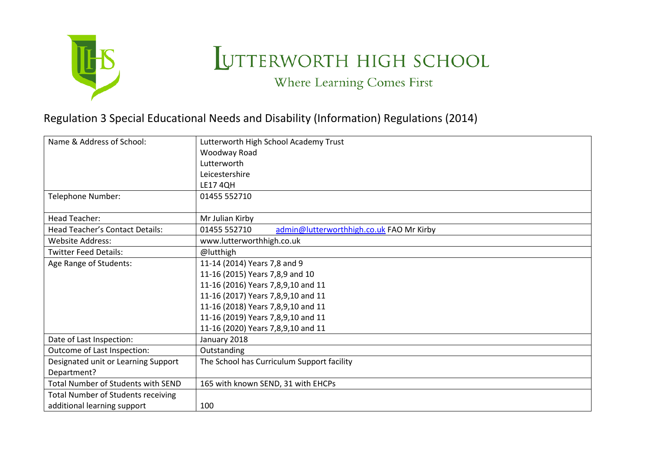

## UTTERWORTH HIGH SCHOOL

Where Learning Comes First

## Regulation 3 Special Educational Needs and Disability (Information) Regulations (2014)

| Name & Address of School:                 | Lutterworth High School Academy Trust                    |  |  |
|-------------------------------------------|----------------------------------------------------------|--|--|
|                                           | Woodway Road                                             |  |  |
|                                           | Lutterworth                                              |  |  |
|                                           | Leicestershire                                           |  |  |
|                                           | <b>LE1740H</b>                                           |  |  |
| Telephone Number:                         | 01455 552710                                             |  |  |
|                                           |                                                          |  |  |
| <b>Head Teacher:</b>                      | Mr Julian Kirby                                          |  |  |
| <b>Head Teacher's Contact Details:</b>    | admin@lutterworthhigh.co.uk FAO Mr Kirby<br>01455 552710 |  |  |
| <b>Website Address:</b>                   | www.lutterworthhigh.co.uk                                |  |  |
| <b>Twitter Feed Details:</b>              | @lutthigh                                                |  |  |
| Age Range of Students:                    | 11-14 (2014) Years 7,8 and 9                             |  |  |
|                                           | 11-16 (2015) Years 7,8,9 and 10                          |  |  |
|                                           | 11-16 (2016) Years 7,8,9,10 and 11                       |  |  |
|                                           | 11-16 (2017) Years 7,8,9,10 and 11                       |  |  |
|                                           | 11-16 (2018) Years 7,8,9,10 and 11                       |  |  |
|                                           | 11-16 (2019) Years 7,8,9,10 and 11                       |  |  |
|                                           | 11-16 (2020) Years 7,8,9,10 and 11                       |  |  |
| Date of Last Inspection:                  | January 2018                                             |  |  |
| Outcome of Last Inspection:               | Outstanding                                              |  |  |
| Designated unit or Learning Support       | The School has Curriculum Support facility               |  |  |
| Department?                               |                                                          |  |  |
| Total Number of Students with SEND        | 165 with known SEND, 31 with EHCPs                       |  |  |
| <b>Total Number of Students receiving</b> |                                                          |  |  |
| additional learning support               | 100                                                      |  |  |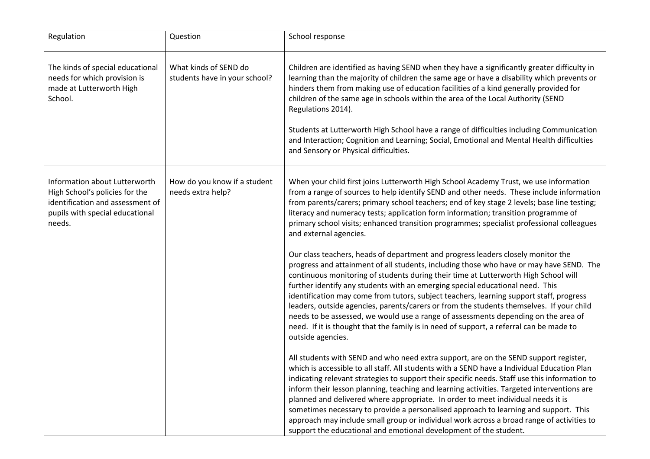| Regulation                                                                                                                                       | Question                                               | School response                                                                                                                                                                                                                                                                                                                                                                                                                                                                                                                                                                                                                                                                                                                                  |
|--------------------------------------------------------------------------------------------------------------------------------------------------|--------------------------------------------------------|--------------------------------------------------------------------------------------------------------------------------------------------------------------------------------------------------------------------------------------------------------------------------------------------------------------------------------------------------------------------------------------------------------------------------------------------------------------------------------------------------------------------------------------------------------------------------------------------------------------------------------------------------------------------------------------------------------------------------------------------------|
| The kinds of special educational<br>needs for which provision is<br>made at Lutterworth High<br>School.                                          | What kinds of SEND do<br>students have in your school? | Children are identified as having SEND when they have a significantly greater difficulty in<br>learning than the majority of children the same age or have a disability which prevents or<br>hinders them from making use of education facilities of a kind generally provided for<br>children of the same age in schools within the area of the Local Authority (SEND<br>Regulations 2014).<br>Students at Lutterworth High School have a range of difficulties including Communication<br>and Interaction; Cognition and Learning; Social, Emotional and Mental Health difficulties<br>and Sensory or Physical difficulties.                                                                                                                   |
| Information about Lutterworth<br>High School's policies for the<br>identification and assessment of<br>pupils with special educational<br>needs. | How do you know if a student<br>needs extra help?      | When your child first joins Lutterworth High School Academy Trust, we use information<br>from a range of sources to help identify SEND and other needs. These include information<br>from parents/carers; primary school teachers; end of key stage 2 levels; base line testing;<br>literacy and numeracy tests; application form information; transition programme of<br>primary school visits; enhanced transition programmes; specialist professional colleagues<br>and external agencies.                                                                                                                                                                                                                                                    |
|                                                                                                                                                  |                                                        | Our class teachers, heads of department and progress leaders closely monitor the<br>progress and attainment of all students, including those who have or may have SEND. The<br>continuous monitoring of students during their time at Lutterworth High School will<br>further identify any students with an emerging special educational need. This<br>identification may come from tutors, subject teachers, learning support staff, progress<br>leaders, outside agencies, parents/carers or from the students themselves. If your child<br>needs to be assessed, we would use a range of assessments depending on the area of<br>need. If it is thought that the family is in need of support, a referral can be made to<br>outside agencies. |
|                                                                                                                                                  |                                                        | All students with SEND and who need extra support, are on the SEND support register,<br>which is accessible to all staff. All students with a SEND have a Individual Education Plan<br>indicating relevant strategies to support their specific needs. Staff use this information to<br>inform their lesson planning, teaching and learning activities. Targeted interventions are<br>planned and delivered where appropriate. In order to meet individual needs it is<br>sometimes necessary to provide a personalised approach to learning and support. This<br>approach may include small group or individual work across a broad range of activities to<br>support the educational and emotional development of the student.                 |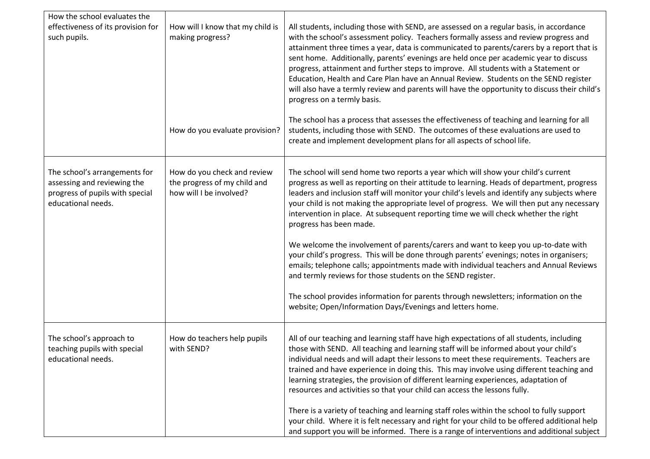| How will I know that my child is<br>making progress?<br>How do you evaluate provision? | All students, including those with SEND, are assessed on a regular basis, in accordance<br>with the school's assessment policy. Teachers formally assess and review progress and<br>attainment three times a year, data is communicated to parents/carers by a report that is<br>sent home. Additionally, parents' evenings are held once per academic year to discuss<br>progress, attainment and further steps to improve. All students with a Statement or<br>Education, Health and Care Plan have an Annual Review. Students on the SEND register<br>will also have a termly review and parents will have the opportunity to discuss their child's<br>progress on a termly basis.<br>The school has a process that assesses the effectiveness of teaching and learning for all<br>students, including those with SEND. The outcomes of these evaluations are used to |
|----------------------------------------------------------------------------------------|--------------------------------------------------------------------------------------------------------------------------------------------------------------------------------------------------------------------------------------------------------------------------------------------------------------------------------------------------------------------------------------------------------------------------------------------------------------------------------------------------------------------------------------------------------------------------------------------------------------------------------------------------------------------------------------------------------------------------------------------------------------------------------------------------------------------------------------------------------------------------|
|                                                                                        | create and implement development plans for all aspects of school life.                                                                                                                                                                                                                                                                                                                                                                                                                                                                                                                                                                                                                                                                                                                                                                                                   |
| How do you check and review<br>the progress of my child and<br>how will I be involved? | The school will send home two reports a year which will show your child's current<br>progress as well as reporting on their attitude to learning. Heads of department, progress<br>leaders and inclusion staff will monitor your child's levels and identify any subjects where<br>your child is not making the appropriate level of progress. We will then put any necessary<br>intervention in place. At subsequent reporting time we will check whether the right<br>progress has been made.<br>We welcome the involvement of parents/carers and want to keep you up-to-date with<br>your child's progress. This will be done through parents' evenings; notes in organisers;                                                                                                                                                                                         |
|                                                                                        | emails; telephone calls; appointments made with individual teachers and Annual Reviews<br>and termly reviews for those students on the SEND register.                                                                                                                                                                                                                                                                                                                                                                                                                                                                                                                                                                                                                                                                                                                    |
|                                                                                        | The school provides information for parents through newsletters; information on the<br>website; Open/Information Days/Evenings and letters home.                                                                                                                                                                                                                                                                                                                                                                                                                                                                                                                                                                                                                                                                                                                         |
| How do teachers help pupils<br>with SEND?                                              | All of our teaching and learning staff have high expectations of all students, including<br>those with SEND. All teaching and learning staff will be informed about your child's<br>individual needs and will adapt their lessons to meet these requirements. Teachers are<br>trained and have experience in doing this. This may involve using different teaching and<br>learning strategies, the provision of different learning experiences, adaptation of<br>resources and activities so that your child can access the lessons fully.<br>There is a variety of teaching and learning staff roles within the school to fully support<br>your child. Where it is felt necessary and right for your child to be offered additional help                                                                                                                                |
|                                                                                        |                                                                                                                                                                                                                                                                                                                                                                                                                                                                                                                                                                                                                                                                                                                                                                                                                                                                          |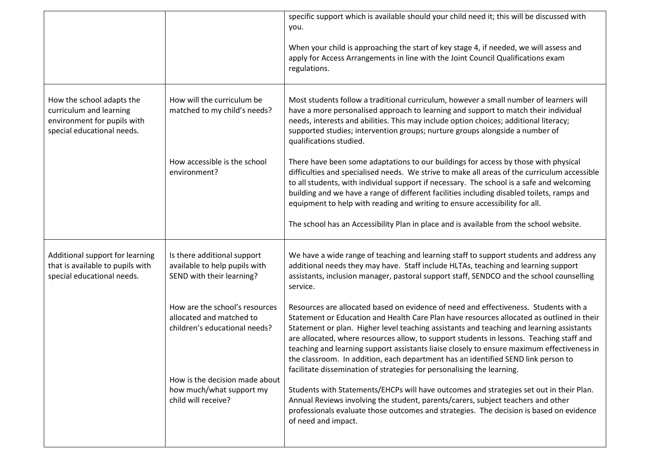|                                                                                                                   |                                                                                             | specific support which is available should your child need it; this will be discussed with<br>you.                                                                                                                                                                                                                                                                                                                                                                                                                                                                                                                                     |
|-------------------------------------------------------------------------------------------------------------------|---------------------------------------------------------------------------------------------|----------------------------------------------------------------------------------------------------------------------------------------------------------------------------------------------------------------------------------------------------------------------------------------------------------------------------------------------------------------------------------------------------------------------------------------------------------------------------------------------------------------------------------------------------------------------------------------------------------------------------------------|
|                                                                                                                   |                                                                                             | When your child is approaching the start of key stage 4, if needed, we will assess and<br>apply for Access Arrangements in line with the Joint Council Qualifications exam<br>regulations.                                                                                                                                                                                                                                                                                                                                                                                                                                             |
| How the school adapts the<br>curriculum and learning<br>environment for pupils with<br>special educational needs. | How will the curriculum be<br>matched to my child's needs?                                  | Most students follow a traditional curriculum, however a small number of learners will<br>have a more personalised approach to learning and support to match their individual<br>needs, interests and abilities. This may include option choices; additional literacy;<br>supported studies; intervention groups; nurture groups alongside a number of<br>qualifications studied.                                                                                                                                                                                                                                                      |
|                                                                                                                   | How accessible is the school<br>environment?                                                | There have been some adaptations to our buildings for access by those with physical<br>difficulties and specialised needs. We strive to make all areas of the curriculum accessible<br>to all students, with individual support if necessary. The school is a safe and welcoming<br>building and we have a range of different facilities including disabled toilets, ramps and<br>equipment to help with reading and writing to ensure accessibility for all.                                                                                                                                                                          |
|                                                                                                                   |                                                                                             | The school has an Accessibility Plan in place and is available from the school website.                                                                                                                                                                                                                                                                                                                                                                                                                                                                                                                                                |
| Additional support for learning<br>that is available to pupils with<br>special educational needs.                 | Is there additional support<br>available to help pupils with<br>SEND with their learning?   | We have a wide range of teaching and learning staff to support students and address any<br>additional needs they may have. Staff include HLTAs, teaching and learning support<br>assistants, inclusion manager, pastoral support staff, SENDCO and the school counselling<br>service.                                                                                                                                                                                                                                                                                                                                                  |
|                                                                                                                   | How are the school's resources<br>allocated and matched to<br>children's educational needs? | Resources are allocated based on evidence of need and effectiveness. Students with a<br>Statement or Education and Health Care Plan have resources allocated as outlined in their<br>Statement or plan. Higher level teaching assistants and teaching and learning assistants<br>are allocated, where resources allow, to support students in lessons. Teaching staff and<br>teaching and learning support assistants liaise closely to ensure maximum effectiveness in<br>the classroom. In addition, each department has an identified SEND link person to<br>facilitate dissemination of strategies for personalising the learning. |
|                                                                                                                   | How is the decision made about<br>how much/what support my<br>child will receive?           | Students with Statements/EHCPs will have outcomes and strategies set out in their Plan.<br>Annual Reviews involving the student, parents/carers, subject teachers and other<br>professionals evaluate those outcomes and strategies. The decision is based on evidence<br>of need and impact.                                                                                                                                                                                                                                                                                                                                          |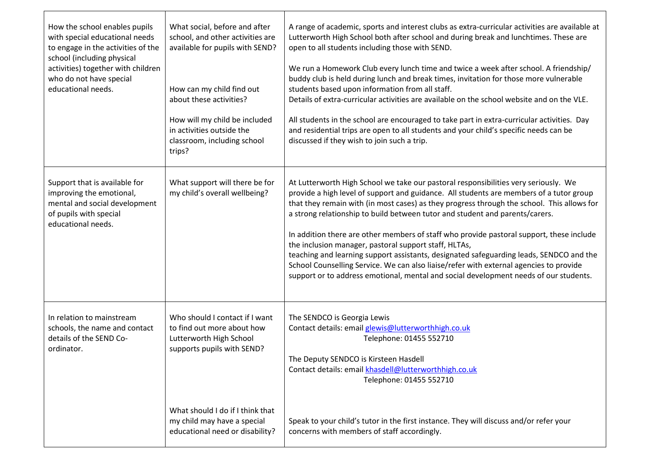| How the school enables pupils<br>with special educational needs<br>to engage in the activities of the<br>school (including physical<br>activities) together with children<br>who do not have special<br>educational needs. | What social, before and after<br>school, and other activities are<br>available for pupils with SEND?<br>How can my child find out<br>about these activities?<br>How will my child be included<br>in activities outside the<br>classroom, including school<br>trips? | A range of academic, sports and interest clubs as extra-curricular activities are available at<br>Lutterworth High School both after school and during break and lunchtimes. These are<br>open to all students including those with SEND.<br>We run a Homework Club every lunch time and twice a week after school. A friendship/<br>buddy club is held during lunch and break times, invitation for those more vulnerable<br>students based upon information from all staff.<br>Details of extra-curricular activities are available on the school website and on the VLE.<br>All students in the school are encouraged to take part in extra-curricular activities. Day<br>and residential trips are open to all students and your child's specific needs can be<br>discussed if they wish to join such a trip. |
|----------------------------------------------------------------------------------------------------------------------------------------------------------------------------------------------------------------------------|---------------------------------------------------------------------------------------------------------------------------------------------------------------------------------------------------------------------------------------------------------------------|-------------------------------------------------------------------------------------------------------------------------------------------------------------------------------------------------------------------------------------------------------------------------------------------------------------------------------------------------------------------------------------------------------------------------------------------------------------------------------------------------------------------------------------------------------------------------------------------------------------------------------------------------------------------------------------------------------------------------------------------------------------------------------------------------------------------|
| Support that is available for<br>improving the emotional,<br>mental and social development<br>of pupils with special<br>educational needs.                                                                                 | What support will there be for<br>my child's overall wellbeing?                                                                                                                                                                                                     | At Lutterworth High School we take our pastoral responsibilities very seriously. We<br>provide a high level of support and guidance. All students are members of a tutor group<br>that they remain with (in most cases) as they progress through the school. This allows for<br>a strong relationship to build between tutor and student and parents/carers.<br>In addition there are other members of staff who provide pastoral support, these include<br>the inclusion manager, pastoral support staff, HLTAs,<br>teaching and learning support assistants, designated safeguarding leads, SENDCO and the<br>School Counselling Service. We can also liaise/refer with external agencies to provide<br>support or to address emotional, mental and social development needs of our students.                   |
| In relation to mainstream<br>schools, the name and contact<br>details of the SEND Co-<br>ordinator.                                                                                                                        | Who should I contact if I want<br>to find out more about how<br>Lutterworth High School<br>supports pupils with SEND?                                                                                                                                               | The SENDCO is Georgia Lewis<br>Contact details: email glewis@lutterworthhigh.co.uk<br>Telephone: 01455 552710<br>The Deputy SENDCO is Kirsteen Hasdell<br>Contact details: email khasdell@lutterworthhigh.co.uk<br>Telephone: 01455 552710                                                                                                                                                                                                                                                                                                                                                                                                                                                                                                                                                                        |
|                                                                                                                                                                                                                            | What should I do if I think that<br>my child may have a special<br>educational need or disability?                                                                                                                                                                  | Speak to your child's tutor in the first instance. They will discuss and/or refer your<br>concerns with members of staff accordingly.                                                                                                                                                                                                                                                                                                                                                                                                                                                                                                                                                                                                                                                                             |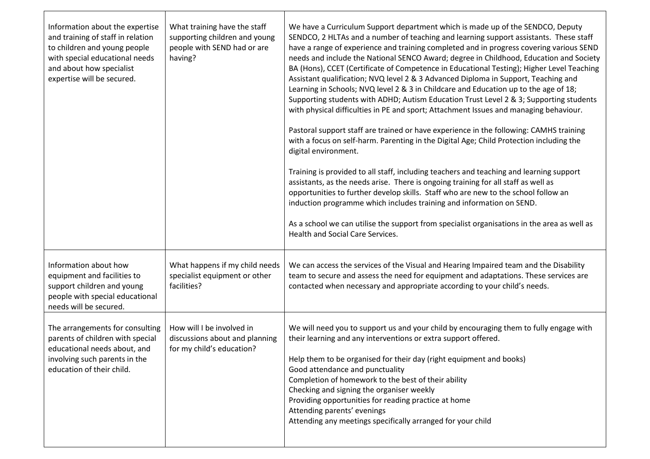| Information about the expertise<br>and training of staff in relation<br>to children and young people<br>with special educational needs<br>and about how specialist<br>expertise will be secured. | What training have the staff<br>supporting children and young<br>people with SEND had or are<br>having? | We have a Curriculum Support department which is made up of the SENDCO, Deputy<br>SENDCO, 2 HLTAs and a number of teaching and learning support assistants. These staff<br>have a range of experience and training completed and in progress covering various SEND<br>needs and include the National SENCO Award; degree in Childhood, Education and Society<br>BA (Hons), CCET (Certificate of Competence in Educational Testing); Higher Level Teaching<br>Assistant qualification; NVQ level 2 & 3 Advanced Diploma in Support, Teaching and<br>Learning in Schools; NVQ level 2 & 3 in Childcare and Education up to the age of 18;<br>Supporting students with ADHD; Autism Education Trust Level 2 & 3; Supporting students<br>with physical difficulties in PE and sport; Attachment Issues and managing behaviour.<br>Pastoral support staff are trained or have experience in the following: CAMHS training<br>with a focus on self-harm. Parenting in the Digital Age; Child Protection including the<br>digital environment.<br>Training is provided to all staff, including teachers and teaching and learning support<br>assistants, as the needs arise. There is ongoing training for all staff as well as<br>opportunities to further develop skills. Staff who are new to the school follow an<br>induction programme which includes training and information on SEND.<br>As a school we can utilise the support from specialist organisations in the area as well as<br>Health and Social Care Services. |
|--------------------------------------------------------------------------------------------------------------------------------------------------------------------------------------------------|---------------------------------------------------------------------------------------------------------|---------------------------------------------------------------------------------------------------------------------------------------------------------------------------------------------------------------------------------------------------------------------------------------------------------------------------------------------------------------------------------------------------------------------------------------------------------------------------------------------------------------------------------------------------------------------------------------------------------------------------------------------------------------------------------------------------------------------------------------------------------------------------------------------------------------------------------------------------------------------------------------------------------------------------------------------------------------------------------------------------------------------------------------------------------------------------------------------------------------------------------------------------------------------------------------------------------------------------------------------------------------------------------------------------------------------------------------------------------------------------------------------------------------------------------------------------------------------------------------------------------------------------|
| Information about how<br>equipment and facilities to<br>support children and young<br>people with special educational<br>needs will be secured.                                                  | What happens if my child needs<br>specialist equipment or other<br>facilities?                          | We can access the services of the Visual and Hearing Impaired team and the Disability<br>team to secure and assess the need for equipment and adaptations. These services are<br>contacted when necessary and appropriate according to your child's needs.                                                                                                                                                                                                                                                                                                                                                                                                                                                                                                                                                                                                                                                                                                                                                                                                                                                                                                                                                                                                                                                                                                                                                                                                                                                                |
| The arrangements for consulting<br>parents of children with special<br>educational needs about, and<br>involving such parents in the<br>education of their child.                                | How will I be involved in<br>discussions about and planning<br>for my child's education?                | We will need you to support us and your child by encouraging them to fully engage with<br>their learning and any interventions or extra support offered.<br>Help them to be organised for their day (right equipment and books)<br>Good attendance and punctuality<br>Completion of homework to the best of their ability<br>Checking and signing the organiser weekly<br>Providing opportunities for reading practice at home<br>Attending parents' evenings<br>Attending any meetings specifically arranged for your child                                                                                                                                                                                                                                                                                                                                                                                                                                                                                                                                                                                                                                                                                                                                                                                                                                                                                                                                                                                              |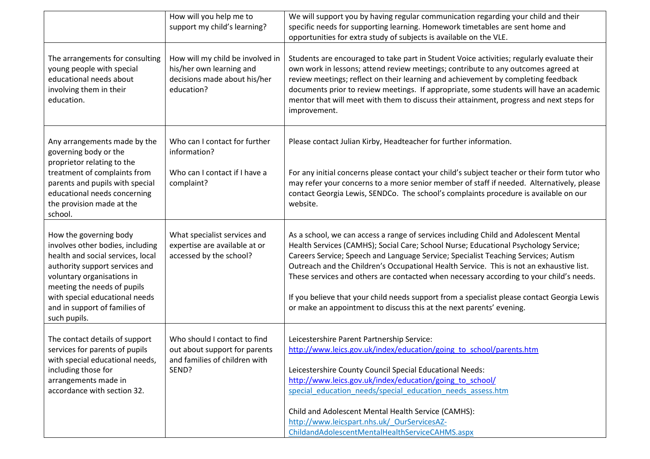|                                                                                                                                                                                                                                                                                   | How will you help me to<br>support my child's learning?                                                    | We will support you by having regular communication regarding your child and their<br>specific needs for supporting learning. Homework timetables are sent home and<br>opportunities for extra study of subjects is available on the VLE.                                                                                                                                                                                                                                                                                                                                                                                       |
|-----------------------------------------------------------------------------------------------------------------------------------------------------------------------------------------------------------------------------------------------------------------------------------|------------------------------------------------------------------------------------------------------------|---------------------------------------------------------------------------------------------------------------------------------------------------------------------------------------------------------------------------------------------------------------------------------------------------------------------------------------------------------------------------------------------------------------------------------------------------------------------------------------------------------------------------------------------------------------------------------------------------------------------------------|
| The arrangements for consulting<br>young people with special<br>educational needs about<br>involving them in their<br>education.                                                                                                                                                  | How will my child be involved in<br>his/her own learning and<br>decisions made about his/her<br>education? | Students are encouraged to take part in Student Voice activities; regularly evaluate their<br>own work in lessons; attend review meetings; contribute to any outcomes agreed at<br>review meetings; reflect on their learning and achievement by completing feedback<br>documents prior to review meetings. If appropriate, some students will have an academic<br>mentor that will meet with them to discuss their attainment, progress and next steps for<br>improvement.                                                                                                                                                     |
| Any arrangements made by the<br>governing body or the<br>proprietor relating to the<br>treatment of complaints from<br>parents and pupils with special<br>educational needs concerning<br>the provision made at the                                                               | Who can I contact for further<br>information?<br>Who can I contact if I have a<br>complaint?               | Please contact Julian Kirby, Headteacher for further information.<br>For any initial concerns please contact your child's subject teacher or their form tutor who<br>may refer your concerns to a more senior member of staff if needed. Alternatively, please<br>contact Georgia Lewis, SENDCo. The school's complaints procedure is available on our<br>website.                                                                                                                                                                                                                                                              |
| school.                                                                                                                                                                                                                                                                           |                                                                                                            |                                                                                                                                                                                                                                                                                                                                                                                                                                                                                                                                                                                                                                 |
| How the governing body<br>involves other bodies, including<br>health and social services, local<br>authority support services and<br>voluntary organisations in<br>meeting the needs of pupils<br>with special educational needs<br>and in support of families of<br>such pupils. | What specialist services and<br>expertise are available at or<br>accessed by the school?                   | As a school, we can access a range of services including Child and Adolescent Mental<br>Health Services (CAMHS); Social Care; School Nurse; Educational Psychology Service;<br>Careers Service; Speech and Language Service; Specialist Teaching Services; Autism<br>Outreach and the Children's Occupational Health Service. This is not an exhaustive list.<br>These services and others are contacted when necessary according to your child's needs.<br>If you believe that your child needs support from a specialist please contact Georgia Lewis<br>or make an appointment to discuss this at the next parents' evening. |
| The contact details of support<br>services for parents of pupils<br>with special educational needs,<br>including those for<br>arrangements made in<br>accordance with section 32.                                                                                                 | Who should I contact to find<br>out about support for parents<br>and families of children with<br>SEND?    | Leicestershire Parent Partnership Service:<br>http://www.leics.gov.uk/index/education/going to school/parents.htm<br>Leicestershire County Council Special Educational Needs:<br>http://www.leics.gov.uk/index/education/going to school/<br>special education needs/special education needs assess.htm<br>Child and Adolescent Mental Health Service (CAMHS):<br>http://www.leicspart.nhs.uk/ OurServicesAZ-<br>ChildandAdolescentMentalHealthServiceCAHMS.aspx                                                                                                                                                                |